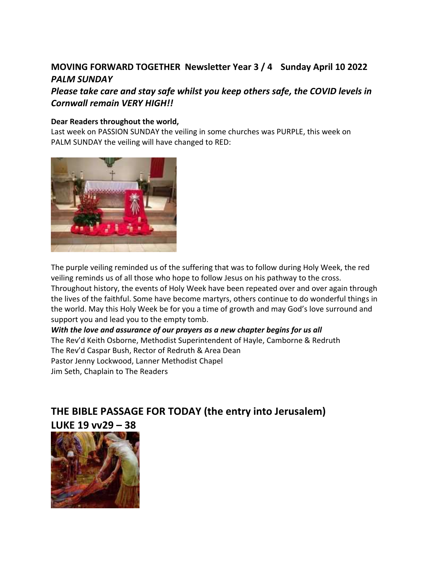### **MOVING FORWARD TOGETHER Newsletter Year 3 / 4 Sunday April 10 2022** *PALM SUNDAY*

### *Please take care and stay safe whilst you keep others safe, the COVID levels in Cornwall remain VERY HIGH!!*

#### **Dear Readers throughout the world,**

Last week on PASSION SUNDAY the veiling in some churches was PURPLE, this week on PALM SUNDAY the veiling will have changed to RED:



The purple veiling reminded us of the suffering that was to follow during Holy Week, the red veiling reminds us of all those who hope to follow Jesus on his pathway to the cross.

Throughout history, the events of Holy Week have been repeated over and over again through the lives of the faithful. Some have become martyrs, others continue to do wonderful things in the world. May this Holy Week be for you a time of growth and may God's love surround and support you and lead you to the empty tomb.

*With the love and assurance of our prayers as a new chapter begins for us all*  The Rev'd Keith Osborne, Methodist Superintendent of Hayle, Camborne & Redruth The Rev'd Caspar Bush, Rector of Redruth & Area Dean Pastor Jenny Lockwood, Lanner Methodist Chapel Jim Seth, Chaplain to The Readers

# **THE BIBLE PASSAGE FOR TODAY (the entry into Jerusalem) LUKE 19 vv29 – 38**

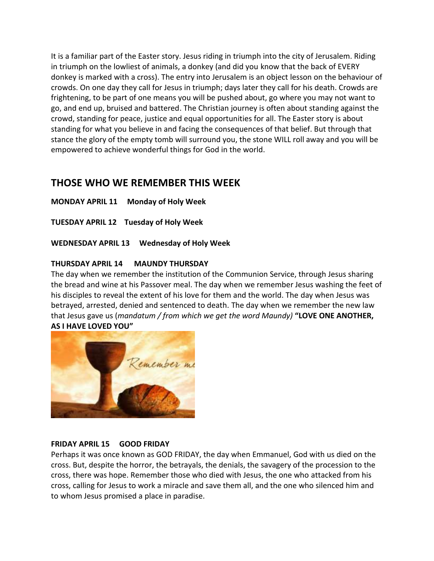It is a familiar part of the Easter story. Jesus riding in triumph into the city of Jerusalem. Riding in triumph on the lowliest of animals, a donkey (and did you know that the back of EVERY donkey is marked with a cross). The entry into Jerusalem is an object lesson on the behaviour of crowds. On one day they call for Jesus in triumph; days later they call for his death. Crowds are frightening, to be part of one means you will be pushed about, go where you may not want to go, and end up, bruised and battered. The Christian journey is often about standing against the crowd, standing for peace, justice and equal opportunities for all. The Easter story is about standing for what you believe in and facing the consequences of that belief. But through that stance the glory of the empty tomb will surround you, the stone WILL roll away and you will be empowered to achieve wonderful things for God in the world.

### **THOSE WHO WE REMEMBER THIS WEEK**

**MONDAY APRIL 11 Monday of Holy Week** 

**TUESDAY APRIL 12 Tuesday of Holy Week**

**WEDNESDAY APRIL 13 Wednesday of Holy Week**

#### **THURSDAY APRIL 14 MAUNDY THURSDAY**

The day when we remember the institution of the Communion Service, through Jesus sharing the bread and wine at his Passover meal. The day when we remember Jesus washing the feet of his disciples to reveal the extent of his love for them and the world. The day when Jesus was betrayed, arrested, denied and sentenced to death. The day when we remember the new law that Jesus gave us (*mandatum / from which we get the word Maundy)* **"LOVE ONE ANOTHER, AS I HAVE LOVED YOU"**



#### **FRIDAY APRIL 15 GOOD FRIDAY**

Perhaps it was once known as GOD FRIDAY, the day when Emmanuel, God with us died on the cross. But, despite the horror, the betrayals, the denials, the savagery of the procession to the cross, there was hope. Remember those who died with Jesus, the one who attacked from his cross, calling for Jesus to work a miracle and save them all, and the one who silenced him and to whom Jesus promised a place in paradise.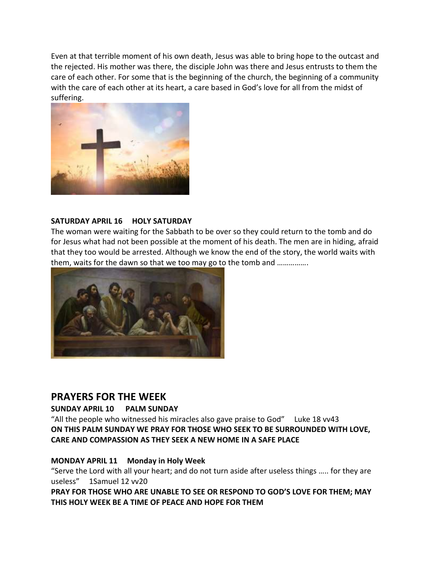Even at that terrible moment of his own death, Jesus was able to bring hope to the outcast and the rejected. His mother was there, the disciple John was there and Jesus entrusts to them the care of each other. For some that is the beginning of the church, the beginning of a community with the care of each other at its heart, a care based in God's love for all from the midst of suffering.



#### **SATURDAY APRIL 16 HOLY SATURDAY**

The woman were waiting for the Sabbath to be over so they could return to the tomb and do for Jesus what had not been possible at the moment of his death. The men are in hiding, afraid that they too would be arrested. Although we know the end of the story, the world waits with them, waits for the dawn so that we too may go to the tomb and …………….



### **PRAYERS FOR THE WEEK**

#### **SUNDAY APRIL 10 PALM SUNDAY**

"All the people who witnessed his miracles also gave praise to God" Luke 18 vv43 **ON THIS PALM SUNDAY WE PRAY FOR THOSE WHO SEEK TO BE SURROUNDED WITH LOVE, CARE AND COMPASSION AS THEY SEEK A NEW HOME IN A SAFE PLACE**

#### **MONDAY APRIL 11 Monday in Holy Week**

"Serve the Lord with all your heart; and do not turn aside after useless things ….. for they are useless" 1Samuel 12 vv20

**PRAY FOR THOSE WHO ARE UNABLE TO SEE OR RESPOND TO GOD'S LOVE FOR THEM; MAY THIS HOLY WEEK BE A TIME OF PEACE AND HOPE FOR THEM**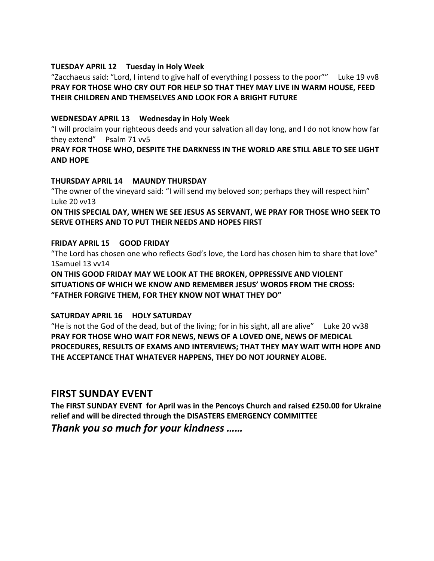#### **TUESDAY APRIL 12 Tuesday in Holy Week**

"Zacchaeus said: "Lord, I intend to give half of everything I possess to the poor"" Luke 19 vv8 **PRAY FOR THOSE WHO CRY OUT FOR HELP SO THAT THEY MAY LIVE IN WARM HOUSE, FEED THEIR CHILDREN AND THEMSELVES AND LOOK FOR A BRIGHT FUTURE** 

#### **WEDNESDAY APRIL 13 Wednesday in Holy Week**

"I will proclaim your righteous deeds and your salvation all day long, and I do not know how far they extend" Psalm 71 vv5

#### **PRAY FOR THOSE WHO, DESPITE THE DARKNESS IN THE WORLD ARE STILL ABLE TO SEE LIGHT AND HOPE**

#### **THURSDAY APRIL 14 MAUNDY THURSDAY**

"The owner of the vineyard said: "I will send my beloved son; perhaps they will respect him" Luke 20 vv13

**ON THIS SPECIAL DAY, WHEN WE SEE JESUS AS SERVANT, WE PRAY FOR THOSE WHO SEEK TO SERVE OTHERS AND TO PUT THEIR NEEDS AND HOPES FIRST**

#### **FRIDAY APRIL 15 GOOD FRIDAY**

"The Lord has chosen one who reflects God's love, the Lord has chosen him to share that love" 1Samuel 13 vv14

**ON THIS GOOD FRIDAY MAY WE LOOK AT THE BROKEN, OPPRESSIVE AND VIOLENT SITUATIONS OF WHICH WE KNOW AND REMEMBER JESUS' WORDS FROM THE CROSS: "FATHER FORGIVE THEM, FOR THEY KNOW NOT WHAT THEY DO"**

#### **SATURDAY APRIL 16 HOLY SATURDAY**

"He is not the God of the dead, but of the living; for in his sight, all are alive" Luke 20 vv38 **PRAY FOR THOSE WHO WAIT FOR NEWS, NEWS OF A LOVED ONE, NEWS OF MEDICAL PROCEDURES, RESULTS OF EXAMS AND INTERVIEWS; THAT THEY MAY WAIT WITH HOPE AND THE ACCEPTANCE THAT WHATEVER HAPPENS, THEY DO NOT JOURNEY ALOBE.** 

### **FIRST SUNDAY EVENT**

**The FIRST SUNDAY EVENT for April was in the Pencoys Church and raised £250.00 for Ukraine relief and will be directed through the DISASTERS EMERGENCY COMMITTEE** 

*Thank you so much for your kindness ……*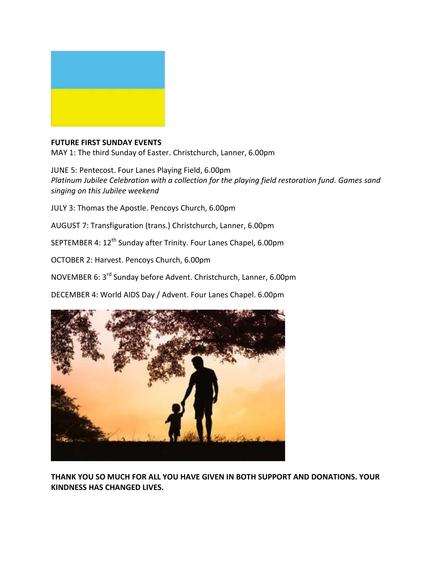

#### **FUTURE FIRST SUNDAY EVENTS**

MAY 1: The third Sunday of Easter. Christchurch, Lanner, 6.00pm

JUNE 5: Pentecost. Four Lanes Playing Field, 6.00pm *Platinum Jubilee Celebration with a collection for the playing field restoration fund. Games sand singing on this Jubilee weekend*

JULY 3: Thomas the Apostle. Pencoys Church, 6.00pm

AUGUST 7: Transfiguration (trans.) Christchurch, Lanner, 6.00pm

SEPTEMBER 4: 12<sup>th</sup> Sunday after Trinity. Four Lanes Chapel, 6.00pm

OCTOBER 2: Harvest. Pencoys Church, 6.00pm

NOVEMBER 6: 3rd Sunday before Advent. Christchurch, Lanner, 6.00pm

DECEMBER 4: World AIDS Day / Advent. Four Lanes Chapel. 6.00pm



**THANK YOU SO MUCH FOR ALL YOU HAVE GIVEN IN BOTH SUPPORT AND DONATIONS. YOUR KINDNESS HAS CHANGED LIVES.**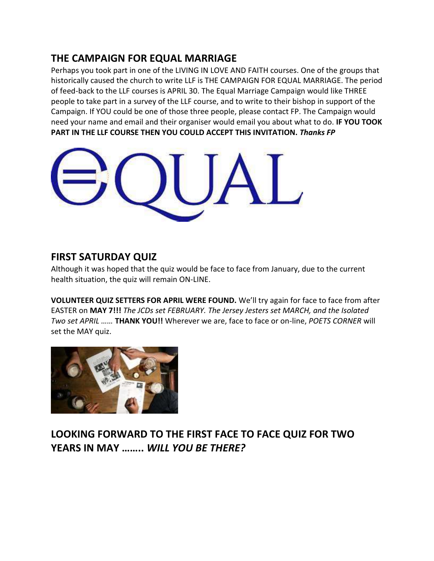### **THE CAMPAIGN FOR EQUAL MARRIAGE**

Perhaps you took part in one of the LIVING IN LOVE AND FAITH courses. One of the groups that historically caused the church to write LLF is THE CAMPAIGN FOR EQUAL MARRIAGE. The period of feed-back to the LLF courses is APRIL 30. The Equal Marriage Campaign would like THREE people to take part in a survey of the LLF course, and to write to their bishop in support of the Campaign. If YOU could be one of those three people, please contact FP. The Campaign would need your name and email and their organiser would email you about what to do. **IF YOU TOOK PART IN THE LLF COURSE THEN YOU COULD ACCEPT THIS INVITATION.** *Thanks FP* 



### **FIRST SATURDAY QUIZ**

Although it was hoped that the quiz would be face to face from January, due to the current health situation, the quiz will remain ON-LINE.

**VOLUNTEER QUIZ SETTERS FOR APRIL WERE FOUND.** We'll try again for face to face from after EASTER on **MAY 7!!!** *The JCDs set FEBRUARY. The Jersey Jesters set MARCH, and the Isolated Two set APRIL ……* **THANK YOU!!** Wherever we are, face to face or on-line, *POETS CORNER* will set the MAY quiz.



# **LOOKING FORWARD TO THE FIRST FACE TO FACE QUIZ FOR TWO YEARS IN MAY ……..** *WILL YOU BE THERE?*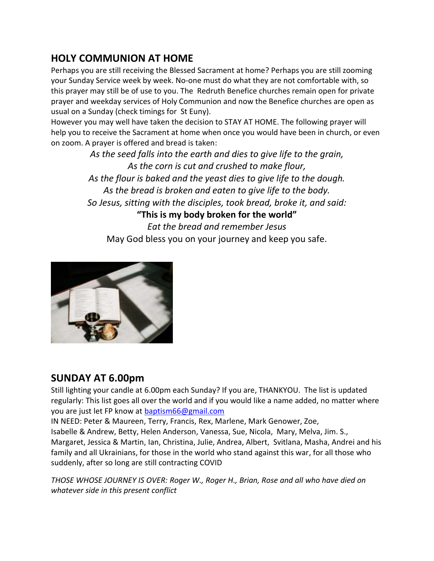## **HOLY COMMUNION AT HOME**

Perhaps you are still receiving the Blessed Sacrament at home? Perhaps you are still zooming your Sunday Service week by week. No-one must do what they are not comfortable with, so this prayer may still be of use to you. The Redruth Benefice churches remain open for private prayer and weekday services of Holy Communion and now the Benefice churches are open as usual on a Sunday (check timings for St Euny).

However you may well have taken the decision to STAY AT HOME. The following prayer will help you to receive the Sacrament at home when once you would have been in church, or even on zoom. A prayer is offered and bread is taken:

> *As the seed falls into the earth and dies to give life to the grain, As the corn is cut and crushed to make flour, As the flour is baked and the yeast dies to give life to the dough. As the bread is broken and eaten to give life to the body. So Jesus, sitting with the disciples, took bread, broke it, and said:* **"This is my body broken for the world"** *Eat the bread and remember Jesus*

May God bless you on your journey and keep you safe.



## **SUNDAY AT 6.00pm**

Still lighting your candle at 6.00pm each Sunday? If you are, THANKYOU. The list is updated regularly: This list goes all over the world and if you would like a name added, no matter where you are just let FP know at [baptism66@gmail.com](mailto:baptism66@gmail.com)

IN NEED: Peter & Maureen, Terry, Francis, Rex, Marlene, Mark Genower, Zoe,

Isabelle & Andrew, Betty, Helen Anderson, Vanessa, Sue, Nicola, Mary, Melva, Jim. S., Margaret, Jessica & Martin, Ian, Christina, Julie, Andrea, Albert, Svitlana, Masha, Andrei and his family and all Ukrainians, for those in the world who stand against this war, for all those who suddenly, after so long are still contracting COVID

*THOSE WHOSE JOURNEY IS OVER: Roger W., Roger H., Brian, Rose and all who have died on whatever side in this present conflict*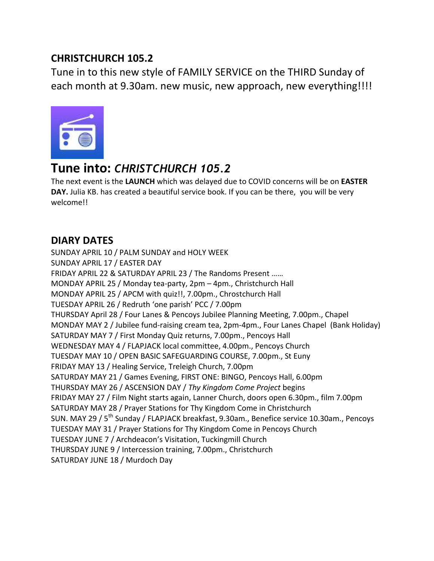## **CHRISTCHURCH 105.2**

Tune in to this new style of FAMILY SERVICE on the THIRD Sunday of each month at 9.30am. new music, new approach, new everything!!!!



# **Tune into:** *CHRISTCHURCH 105.2*

The next event is the **LAUNCH** which was delayed due to COVID concerns will be on **EASTER DAY.** Julia KB. has created a beautiful service book. If you can be there, you will be very welcome!!

# **DIARY DATES**

SUNDAY APRIL 10 / PALM SUNDAY and HOLY WEEK SUNDAY APRIL 17 / EASTER DAY FRIDAY APRIL 22 & SATURDAY APRIL 23 / The Randoms Present …… MONDAY APRIL 25 / Monday tea-party, 2pm – 4pm., Christchurch Hall MONDAY APRIL 25 / APCM with quiz!!, 7.00pm., Chrostchurch Hall TUESDAY APRIL 26 / Redruth 'one parish' PCC / 7.00pm THURSDAY April 28 / Four Lanes & Pencoys Jubilee Planning Meeting, 7.00pm., Chapel MONDAY MAY 2 / Jubilee fund-raising cream tea, 2pm-4pm., Four Lanes Chapel (Bank Holiday) SATURDAY MAY 7 / First Monday Quiz returns, 7.00pm., Pencoys Hall WEDNESDAY MAY 4 / FLAPJACK local committee, 4.00pm., Pencoys Church TUESDAY MAY 10 / OPEN BASIC SAFEGUARDING COURSE, 7.00pm., St Euny FRIDAY MAY 13 / Healing Service, Treleigh Church, 7.00pm SATURDAY MAY 21 / Games Evening, FIRST ONE: BINGO, Pencoys Hall, 6.00pm THURSDAY MAY 26 / ASCENSION DAY / *Thy Kingdom Come Project* begins FRIDAY MAY 27 / Film Night starts again, Lanner Church, doors open 6.30pm., film 7.00pm SATURDAY MAY 28 / Prayer Stations for Thy Kingdom Come in Christchurch SUN. MAY 29 / 5<sup>th</sup> Sunday / FLAPJACK breakfast, 9.30am., Benefice service 10.30am., Pencoys TUESDAY MAY 31 / Prayer Stations for Thy Kingdom Come in Pencoys Church TUESDAY JUNE 7 / Archdeacon's Visitation, Tuckingmill Church THURSDAY JUNE 9 / Intercession training, 7.00pm., Christchurch SATURDAY JUNE 18 / Murdoch Day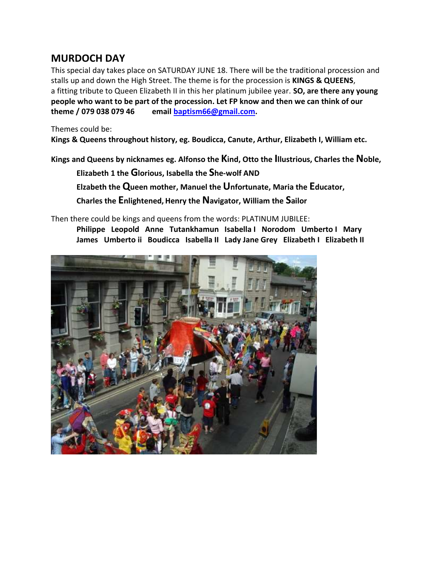### **MURDOCH DAY**

This special day takes place on SATURDAY JUNE 18. There will be the traditional procession and stalls up and down the High Street. The theme is for the procession is **KINGS & QUEENS**, a fitting tribute to Queen Elizabeth II in this her platinum jubilee year. **SO, are there any young people who want to be part of the procession. Let FP know and then we can think of our theme / 079 038 079 46 email [baptism66@gmail.com.](mailto:baptism66@gmail.com)**

#### Themes could be:

**Kings & Queens throughout history, eg. Boudicca, Canute, Arthur, Elizabeth I, William etc.** 

**Kings and Queens by nicknames eg. Alfonso the Kind, Otto the Illustrious, Charles the Noble,**

**Elizabeth 1 the Glorious, Isabella the She-wolf AND** 

**Elzabeth the Queen mother, Manuel the Unfortunate, Maria the Educator,** 

**Charles the Enlightened, Henry the Navigator, William the Sailor** 

Then there could be kings and queens from the words: PLATINUM JUBILEE:

**Philippe Leopold Anne Tutankhamun Isabella I Norodom Umberto I Mary James Umberto ii Boudicca Isabella II Lady Jane Grey Elizabeth I Elizabeth II**